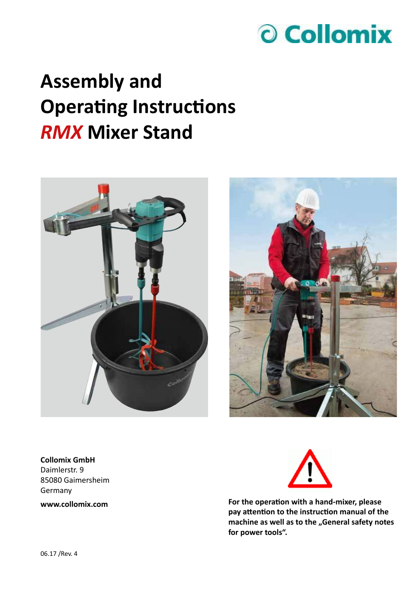

## **Assembly and Operating Instructions** *RMX* **Mixer Stand**





**Collomix GmbH** Daimlerstr. 9 85080 Gaimersheim Germany **www.collomix.com**



**For the operation with a hand-mixer, please pay attention to the instruction manual of the**  machine as well as to the "General safety notes **for power tools".**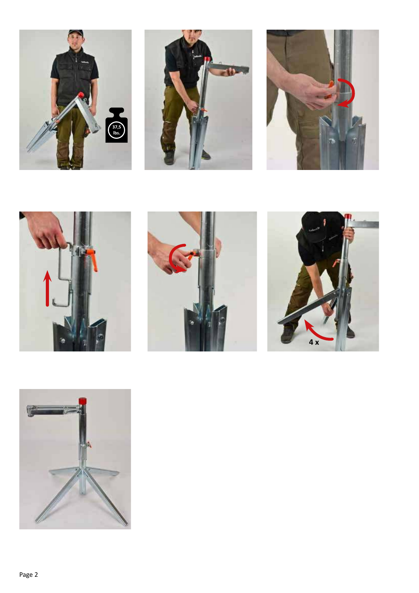











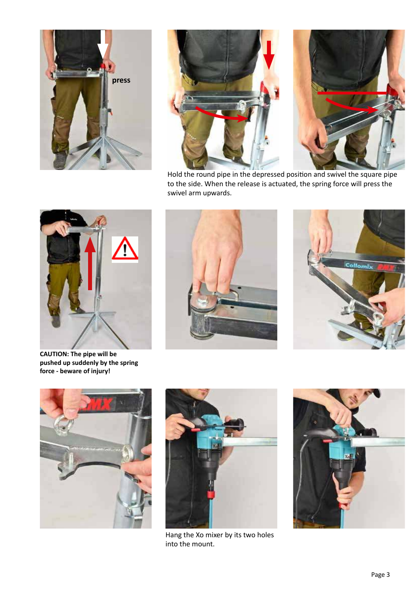





Hold the round pipe in the depressed position and swivel the square pipe to the side. When the release is actuated, the spring force will press the swivel arm upwards.



**CAUTION: The pipe will be pushed up suddenly by the spring force - beware of injury!**









Hang the Xo mixer by its two holes into the mount.